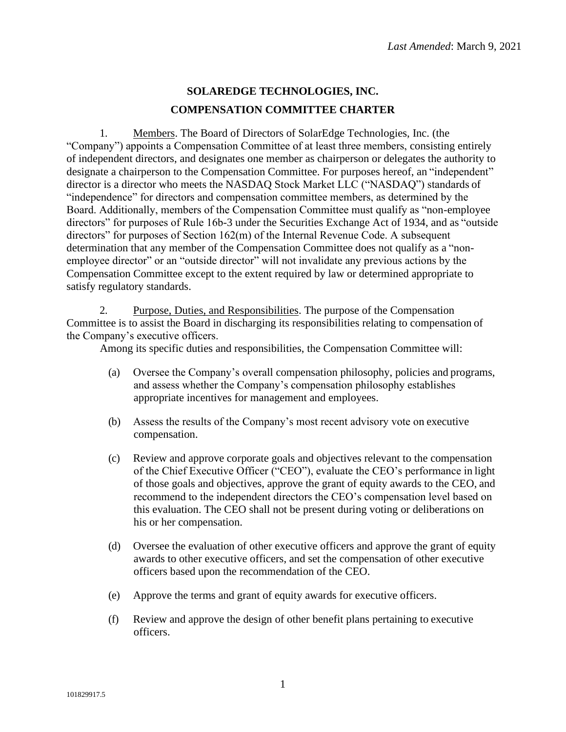## **SOLAREDGE TECHNOLOGIES, INC. COMPENSATION COMMITTEE CHARTER**

1. Members. The Board of Directors of SolarEdge Technologies, Inc. (the "Company") appoints a Compensation Committee of at least three members, consisting entirely of independent directors, and designates one member as chairperson or delegates the authority to designate a chairperson to the Compensation Committee. For purposes hereof, an "independent" director is a director who meets the NASDAQ Stock Market LLC ("NASDAQ") standards of "independence" for directors and compensation committee members, as determined by the Board. Additionally, members of the Compensation Committee must qualify as "non-employee directors" for purposes of Rule 16b-3 under the Securities Exchange Act of 1934, and as "outside directors" for purposes of Section 162(m) of the Internal Revenue Code. A subsequent determination that any member of the Compensation Committee does not qualify as a "nonemployee director" or an "outside director" will not invalidate any previous actions by the Compensation Committee except to the extent required by law or determined appropriate to satisfy regulatory standards.

2. Purpose, Duties, and Responsibilities. The purpose of the Compensation Committee is to assist the Board in discharging its responsibilities relating to compensation of the Company's executive officers.

Among its specific duties and responsibilities, the Compensation Committee will:

- (a) Oversee the Company's overall compensation philosophy, policies and programs, and assess whether the Company's compensation philosophy establishes appropriate incentives for management and employees.
- (b) Assess the results of the Company's most recent advisory vote on executive compensation.
- (c) Review and approve corporate goals and objectives relevant to the compensation of the Chief Executive Officer ("CEO"), evaluate the CEO's performance in light of those goals and objectives, approve the grant of equity awards to the CEO, and recommend to the independent directors the CEO's compensation level based on this evaluation. The CEO shall not be present during voting or deliberations on his or her compensation.
- (d) Oversee the evaluation of other executive officers and approve the grant of equity awards to other executive officers, and set the compensation of other executive officers based upon the recommendation of the CEO.
- (e) Approve the terms and grant of equity awards for executive officers.
- (f) Review and approve the design of other benefit plans pertaining to executive officers.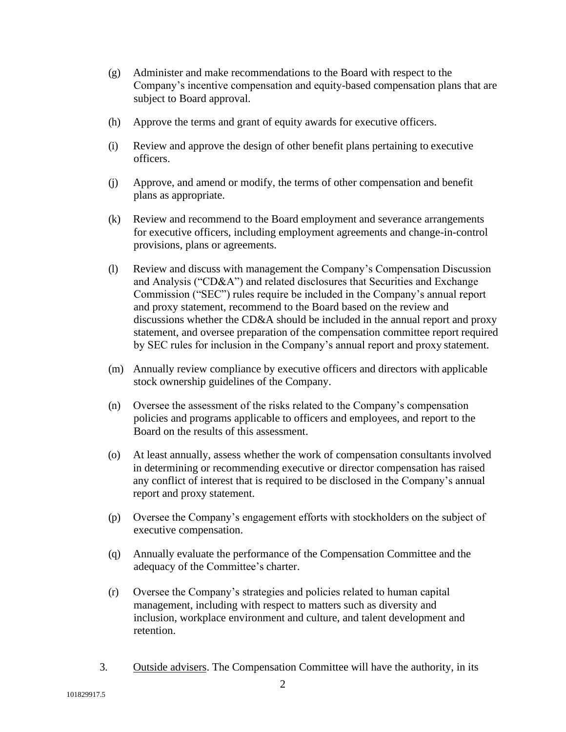- (g) Administer and make recommendations to the Board with respect to the Company's incentive compensation and equity-based compensation plans that are subject to Board approval.
- (h) Approve the terms and grant of equity awards for executive officers.
- (i) Review and approve the design of other benefit plans pertaining to executive officers.
- (j) Approve, and amend or modify, the terms of other compensation and benefit plans as appropriate.
- (k) Review and recommend to the Board employment and severance arrangements for executive officers, including employment agreements and change-in-control provisions, plans or agreements.
- (l) Review and discuss with management the Company's Compensation Discussion and Analysis ("CD&A") and related disclosures that Securities and Exchange Commission ("SEC") rules require be included in the Company's annual report and proxy statement, recommend to the Board based on the review and discussions whether the CD&A should be included in the annual report and proxy statement, and oversee preparation of the compensation committee report required by SEC rules for inclusion in the Company's annual report and proxy statement.
- (m) Annually review compliance by executive officers and directors with applicable stock ownership guidelines of the Company.
- (n) Oversee the assessment of the risks related to the Company's compensation policies and programs applicable to officers and employees, and report to the Board on the results of this assessment.
- (o) At least annually, assess whether the work of compensation consultants involved in determining or recommending executive or director compensation has raised any conflict of interest that is required to be disclosed in the Company's annual report and proxy statement.
- (p) Oversee the Company's engagement efforts with stockholders on the subject of executive compensation.
- (q) Annually evaluate the performance of the Compensation Committee and the adequacy of the Committee's charter.
- (r) Oversee the Company's strategies and policies related to human capital management, including with respect to matters such as diversity and inclusion, workplace environment and culture, and talent development and retention.
- 3. Outside advisers. The Compensation Committee will have the authority, in its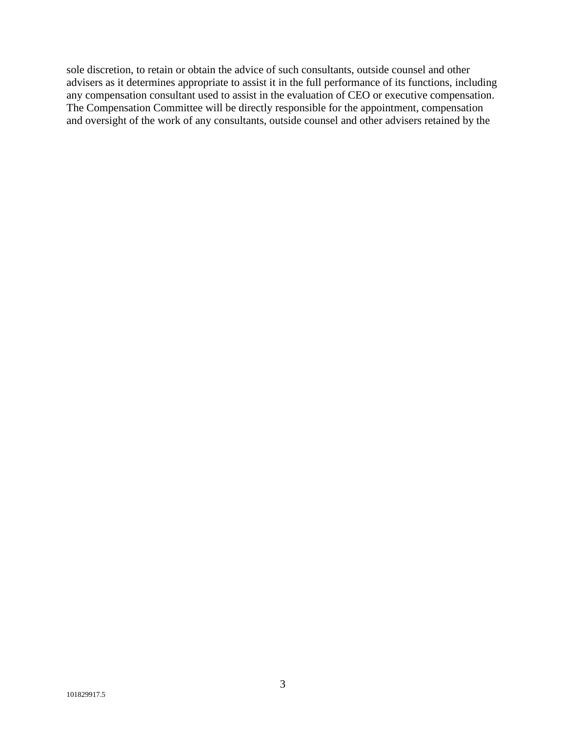sole discretion, to retain or obtain the advice of such consultants, outside counsel and other advisers as it determines appropriate to assist it in the full performance of its functions, including any compensation consultant used to assist in the evaluation of CEO or executive compensation. The Compensation Committee will be directly responsible for the appointment, compensation and oversight of the work of any consultants, outside counsel and other advisers retained by the